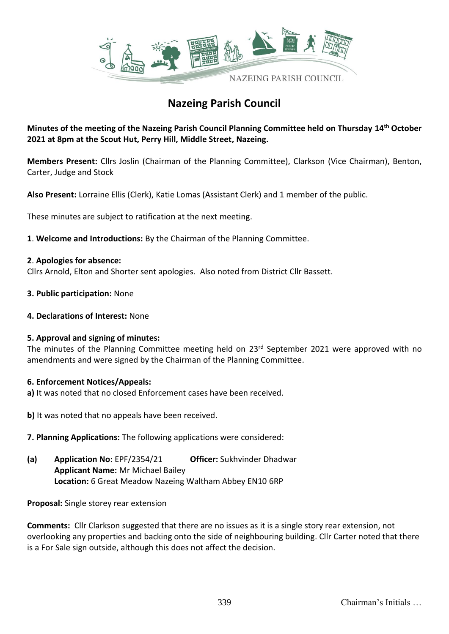

# **Nazeing Parish Council**

**Minutes of the meeting of the Nazeing Parish Council Planning Committee held on Thursday 14th October 2021 at 8pm at the Scout Hut, Perry Hill, Middle Street, Nazeing.**

**Members Present:** Cllrs Joslin (Chairman of the Planning Committee), Clarkson (Vice Chairman), Benton, Carter, Judge and Stock

**Also Present:** Lorraine Ellis (Clerk), Katie Lomas (Assistant Clerk) and 1 member of the public.

These minutes are subject to ratification at the next meeting.

**1**. **Welcome and Introductions:** By the Chairman of the Planning Committee.

### **2**. **Apologies for absence:**

Cllrs Arnold, Elton and Shorter sent apologies. Also noted from District Cllr Bassett.

- **3. Public participation:** None
- **4. Declarations of Interest:** None

### **5. Approval and signing of minutes:**

The minutes of the Planning Committee meeting held on 23<sup>rd</sup> September 2021 were approved with no amendments and were signed by the Chairman of the Planning Committee.

### **6. Enforcement Notices/Appeals:**

- **a)** It was noted that no closed Enforcement cases have been received.
- **b)** It was noted that no appeals have been received.
- **7. Planning Applications:** The following applications were considered:
- **(a) Application No:** EPF/2354/21 **Officer:** Sukhvinder Dhadwar **Applicant Name:** Mr Michael Bailey **Location:** 6 Great Meadow Nazeing Waltham Abbey EN10 6RP

**Proposal:** Single storey rear extension

**Comments:** Cllr Clarkson suggested that there are no issues as it is a single story rear extension, not overlooking any properties and backing onto the side of neighbouring building. Cllr Carter noted that there is a For Sale sign outside, although this does not affect the decision.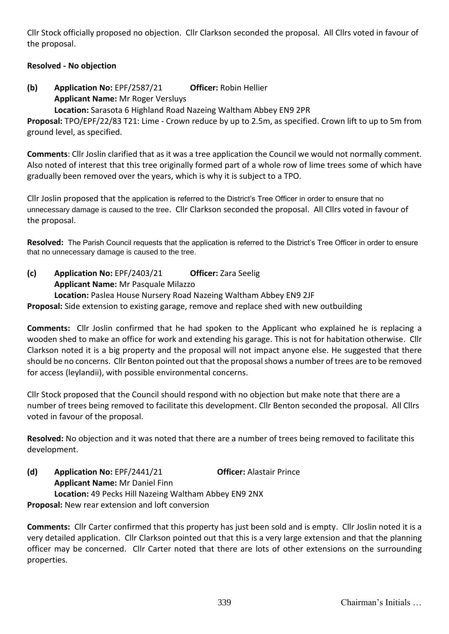Cllr Stock officially proposed no objection. Cllr Clarkson seconded the proposal. All Cllrs voted in favour of the proposal.

## **Resolved - No objection**

**(b) Application No:** EPF/2587/21 **Officer:** Robin Hellier **Applicant Name:** Mr Roger Versluys **Location:** Sarasota 6 Highland Road Nazeing Waltham Abbey EN9 2PR

**Proposal:** TPO/EPF/22/83 T21: Lime - Crown reduce by up to 2.5m, as specified. Crown lift to up to 5m from ground level, as specified.

**Comments**: Cllr Joslin clarified that as it was a tree application the Council we would not normally comment. Also noted of interest that this tree originally formed part of a whole row of lime trees some of which have gradually been removed over the years, which is why it is subject to a TPO.

Cllr Joslin proposed that the application is referred to the District's Tree Officer in order to ensure that no unnecessary damage is caused to the tree. Cllr Clarkson seconded the proposal. All Cllrs voted in favour of the proposal.

**Resolved:** The Parish Council requests that the application is referred to the District's Tree Officer in order to ensure that no unnecessary damage is caused to the tree.

**(c) Application No:** EPF/2403/21 **Officer:** Zara Seelig **Applicant Name:** Mr Pasquale Milazzo **Location:** Paslea House Nursery Road Nazeing Waltham Abbey EN9 2JF **Proposal:** Side extension to existing garage, remove and replace shed with new outbuilding

**Comments:** Cllr Joslin confirmed that he had spoken to the Applicant who explained he is replacing a wooden shed to make an office for work and extending his garage. This is not for habitation otherwise. Cllr Clarkson noted it is a big property and the proposal will not impact anyone else. He suggested that there should be no concerns. Cllr Benton pointed out that the proposal shows a number of trees are to be removed for access (leylandii), with possible environmental concerns.

Cllr Stock proposed that the Council should respond with no objection but make note that there are a number of trees being removed to facilitate this development. Cllr Benton seconded the proposal. All Cllrs voted in favour of the proposal.

**Resolved:** No objection and it was noted that there are a number of trees being removed to facilitate this development.

**(d) Application No:** EPF/2441/21 **Officer:** Alastair Prince **Applicant Name:** Mr Daniel Finn **Location:** 49 Pecks Hill Nazeing Waltham Abbey EN9 2NX **Proposal:** New rear extension and loft conversion

**Comments:** Cllr Carter confirmed that this property has just been sold and is empty. Cllr Joslin noted it is a very detailed application. Cllr Clarkson pointed out that this is a very large extension and that the planning officer may be concerned. Cllr Carter noted that there are lots of other extensions on the surrounding properties.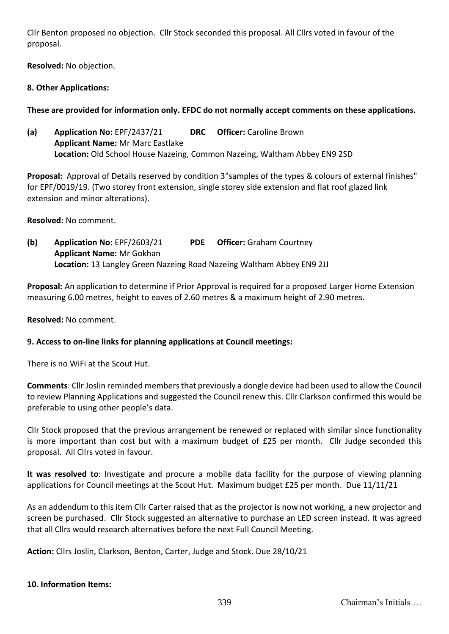Cllr Benton proposed no objection. Cllr Stock seconded this proposal. All Cllrs voted in favour of the proposal.

**Resolved:** No objection.

## **8. Other Applications:**

# **These are provided for information only. EFDC do not normally accept comments on these applications.**

**(a) Application No:** EPF/2437/21 **DRC Officer:** Caroline Brown **Applicant Name:** Mr Marc Eastlake **Location:** Old School House Nazeing, Common Nazeing, Waltham Abbey EN9 2SD

**Proposal:** Approval of Details reserved by condition 3"samples of the types & colours of external finishes" for EPF/0019/19. (Two storey front extension, single storey side extension and flat roof glazed link extension and minor alterations).

**Resolved:** No comment.

**(b) Application No:** EPF/2603/21 **PDE Officer:** Graham Courtney **Applicant Name:** Mr Gokhan **Location:** 13 Langley Green Nazeing Road Nazeing Waltham Abbey EN9 2JJ

**Proposal:** An application to determine if Prior Approval is required for a proposed Larger Home Extension measuring 6.00 metres, height to eaves of 2.60 metres & a maximum height of 2.90 metres.

**Resolved:** No comment.

## **9. Access to on-line links for planning applications at Council meetings:**

There is no WiFi at the Scout Hut.

**Comments**: Cllr Joslin reminded members that previously a dongle device had been used to allow the Council to review Planning Applications and suggested the Council renew this. Cllr Clarkson confirmed this would be preferable to using other people's data.

Cllr Stock proposed that the previous arrangement be renewed or replaced with similar since functionality is more important than cost but with a maximum budget of £25 per month. Cllr Judge seconded this proposal. All Cllrs voted in favour.

**It was resolved to**: Investigate and procure a mobile data facility for the purpose of viewing planning applications for Council meetings at the Scout Hut. Maximum budget £25 per month. Due 11/11/21

As an addendum to this item Cllr Carter raised that as the projector is now not working, a new projector and screen be purchased. Cllr Stock suggested an alternative to purchase an LED screen instead. It was agreed that all Cllrs would research alternatives before the next Full Council Meeting.

**Action:** Cllrs Joslin, Clarkson, Benton, Carter, Judge and Stock. Due 28/10/21

### **10. Information Items:**